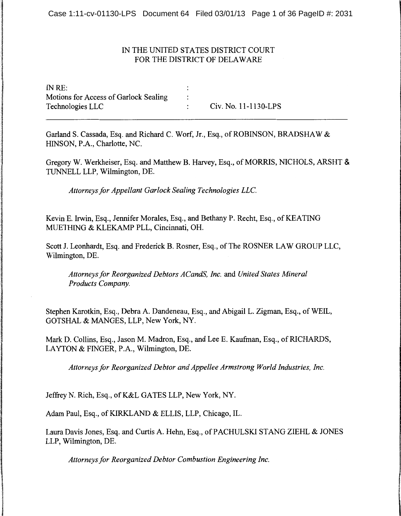# IN THE UNITED STATES DISTRICT COURT FOR THE DISTRICT OF DELAWARE

INRE: Motions for Access of Garlock Sealing  $\vdots$ Technologies LLC : Civ. No. 11-1130-LPS

Garland S. Cassada, Esq. and Richard C. Worf, Jr., Esq., of ROBINSON, BRADSHAW & HINSON, P.A., Charlotte, NC.

Gregory W. Werkheiser, Esq. and Matthew B. Harvey, Esq., of MORRIS, NICHOLS, ARSHT & TUNNELL LLP, Wilmington, DE.

*Attorneys for Appellant Garlock Sealing Technologies LLC.* 

Kevin E. Irwin, Esq., Jennifer Morales, Esq., and Bethany P. Recht, Esq., of KEATING MUETHING & KLEKAMP PLL, Cincinnati, OH.

Scott J. Leonhardt, Esq. and Frederick B. Rosner, Esq., of The ROSNER LAW GROUP LLC, Wilmington, DE.

*Attorneys for Reorganized Debtors ACandS, Inc.* and *United States Mineral Products Company.* 

Stephen Karotkin, Esq., Debra A. Dandeneau, Esq., and Abigail L. Zigman, Esq., of WEIL, GOTSHAL & MANGES, LLP, New York, NY.

Mark D. Collins, Esq., Jason M. Madron, Esq., and Lee E. Kaufman, Esq., of RICHARDS, LAYTON & FINGER, P.A., Wilmington, DE.

*Attorneys for Reorganized Debtor and Appellee Armstrong World Industries, Inc.* 

Jeffrey N. Rich, Esq., of K&L GATES LLP, New York, NY.

Adam Paul, Esq., of KIRKLAND & ELLIS, LLP, Chicago, IL.

Laura Davis Jones, Esq. and Curtis A. Hehn, Esq., of PACHULSKI STANG ZIEHL & JONES LLP, Wilmington, DE.

I

*Attorneys for Reorganized Debtor Combustion Engineering Inc.*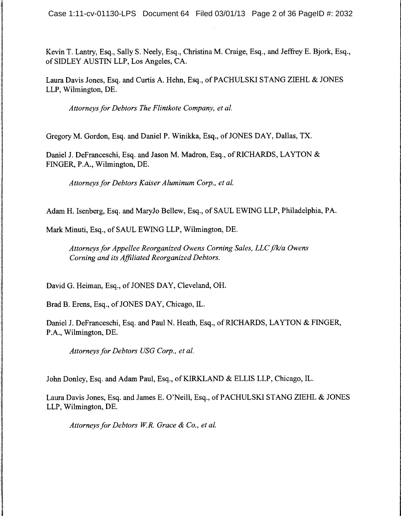Kevin T. Lantry, Esq., Sally S. Neely, Esq., Christina M. Craige, Esq., and Jeffrey E. Bjork, Esq., of SIDLEY AUSTIN LLP, Los Angeles, CA.

Laura Davis Jones, Esq. and Curtis A. Hehn, Esq., of PACHULSKI STANG ZIEHL & JONES LLP, Wilmington, DE.

*Attorneys for Debtors The Flintkote Company, et al.* 

Gregory M. Gordon, Esq. and Daniel P. Winikka, Esq., of JONES DAY, Dallas, TX.

Daniel J. DeFranceschi, Esq. and Jason M. Madron, Esq., of RICHARDS, LAYTON & FINGER, P.A., Wilmington, DE.

*Attorneys for Debtors Kaiser Aluminum Corp., eta/.* 

Adam H. Isenberg, Esq. and MaryJo Bellew, Esq., of SAUL EWING LLP, Philadelphia, PA.

Mark Minuti, Esq., of SAUL EWING LLP, Wilmington, DE.

*Attorneys for Appellee Reorganized Owens Corning Sales, LLC f/k/a Owens Corning and its Affiliated Reorganized Debtors.* 

David G. Heiman, Esq., of JONES DAY, Cleveland, OH.

Brad B. Erens, Esq., of JONES DAY, Chicago, IL.

Daniel J. DeFranceschi, Esq. and Paul N. Heath, Esq., of RICHARDS, LAYTON & FINGER, P.A., Wilmington, DE.

*Attorneys for Debtors USG Corp., eta/.* 

John Donley, Esq. and Adam Paul, Esq., of KIRKLAND & ELLIS LLP, Chicago, IL.

Laura Davis Jones, Esq. and James E. O'Neill, Esq., of PACHULSKI STANG ZIEHL & JONES LLP, Wilmington, DE.

*Attorneys for Debtors WR. Grace* & *Co., et al.*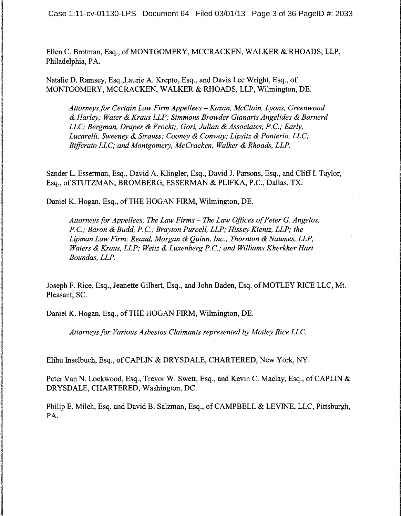Case 1:11-cv-01130-LPS Document 64 Filed 03/01/13 Page 3 of 36 PageID #: 2033

Ellen C. Brotman, Esq., of MONTGOMERY, MCCRACKEN, WALKER & RHOADS, LLP, Philadelphia, PA.

Natalie D. Ramsey, Esq.,Laurie A. Krepto, Esq., and Davis Lee Wright, Esq., of MONTGOMERY, MCCRACKEN, WALKER & RHOADS, LLP, Wilmington, DE.

*Attorneys for Certain Law Firm Appellees- Kazan, McClain, Lyons, Greenwood*  & *Harley; Water* & *Kraus LLP; Simmons Browder Gianaris Angelides* & *Barnerd LLC; Bergman, Draper* & *Frockt;, Gori, Julian* & *Associates, P.* C.; *Early, Lucarelli, Sweeney* & *Strauss; Cooney* & *Conway; Lipsitz* & *Ponterio, LLC; Bifferato LLC; and Montgomery, McCracken, Walker* & *Rhoads, LLP.* 

Sander L. Esserman, Esq., David A. Klingler, Esq., David J. Parsons, Esq., and Cliff I. Taylor, Esq., of STUTZMAN, BROMBERG, ESSERMAN & PLIFKA, P.C., Dallas, TX.

Daniel K. Hogan, Esq., of THE HOGAN FIRM, Wilmington, DE.

*Attorneys for Appellees, The Law Firms- The Law Offices of Peter* G. *Angelos, P.C.; Baron* & *Budd, P.C.; Brayton Purcell, LLP; Hissey Kientz, LLP; the Lipman Law Firm; Reaud, Morgan* & *Quinn, Inc.; Thornton* & *Naumes, LLP; Waters* & *Kraus, LLP; Weitz* & *Luxenberg P.C.; and Williams Kherkher Hart Boundas, LLP.* 

Joseph F. Rice, Esq., Jeanette Gilbert, Esq., and John Baden, Esq. of MOTLEY RICE LLC, Mt. Pleasant, SC.

Daniel K. Hogan, Esq., of THE HOGAN FIRM, Wilmington, DE.

1

l**ik** ()<br>likka ja kaupunkin kaupunkin kaupunkin kaupunkin kaupunkin kaupunkin kaupunkin kaupunkin kaupunkin kaupunkin k

*Attorneys for Various Asbestos Claimants represented by Motley Rice LLC.* 

Elihu Inselbuch, Esq., of CAPLIN & DRYSDALE, CHARTERED, New York, NY.

Peter Van N. Lockwood, Esq., Trevor W. Swett, Esq., and Kevin C. Maclay, Esq., of CAPLIN & DRYSDALE, CHARTERED, Washington, DC.

Philip E. Milch, Esq. and David B. Salzman, Esq., of CAMPBELL & LEVINE, LLC, Pittsburgh, PA.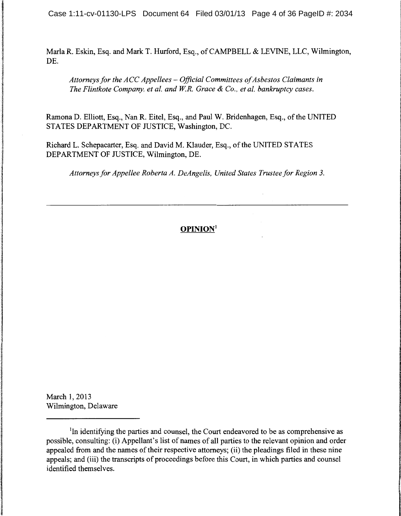Case 1:11-cv-01130-LPS Document 64 Filed 03/01/13 Page 4 of 36 PageID #: 2034

MarlaR. Eskin, Esq. and Mark T. Hurford, Esq., of CAMPBELL & LEVINE, LLC, Wilmington, DE.

*Attorneys for the ACC Appellees- Official Committees of Asbestos Claimants in The Flintkote Company, et al. and WR. Grace* & *Co., et al. bankruptcy cases.* 

Ramona D. Elliott, Esq., Nan R. Eitel, Esq., and Paul W. Bridenhagen, Esq., of the UNITED STATES DEPARTMENT OF JUSTICE, Washington, DC.

Richard L. Schepacarter, Esq. and David M. Klauder, Esq., of the UNITED STATES DEPARTMENT OF JUSTICE, Wilmington, DE.

*Attorneys for Appellee Roberta A. DeAngelis, United States Trustee for Region 3.* 

# **OPINION<sup>1</sup>**

March 1, 2013 Wilmington, Delaware

<sup>1</sup>In identifying the parties and counsel, the Court endeavored to be as comprehensive as possible, consulting: (i) Appellant's list of names of all parties to the relevant opinion and order appealed from and the names of their respective attorneys; (ii) the pleadings filed in these nine appeals; and (iii) the transcripts of proceedings before this Court, in which parties and counsel identified themselves.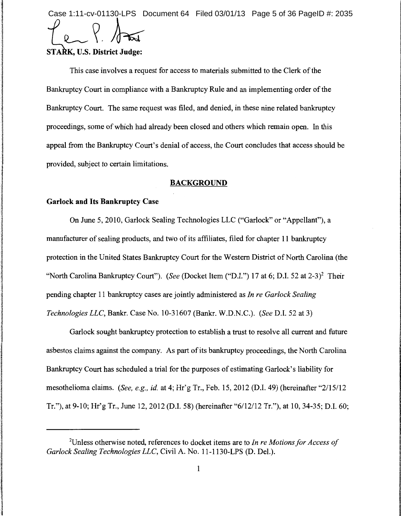Case 1:11-cv-01130-LPS Document 64 Filed 03/01/13 Page 5 of 36 PageID #: 2035

I

nico anticipalmente de **INDEEDIAN** in an Isaal Palestalaisie (Ideologia)<br>Isaac

I

1

# **STARK, U.S. District Judge:**

This case involves a request for access to materials submitted to the Clerk of the Bankruptcy Court in compliance with a Bankruptcy Rule and an implementing order of the Bankruptcy Court. The same request was filed, and denied, in these nine related bankruptcy proceedings, some of which had already been closed and others which remain open. In this appeal from the Bankruptcy Court's denial of access, the Court concludes that access should be provided, subject to certain limitations.

# **BACKGROUND**

# **Garlock and Its Bankruptcy Case**

On June 5, 2010, Garlock Sealing Technologies LLC ("Garlock" or "Appellant"), a manufacturer of sealing products, and two of its affiliates, filed for chapter 11 bankruptcy protection in the United States Bankruptcy Court for the Western District of North Carolina (the "North Carolina Bankruptcy Court"). *(See (Docket Item ("D.I.")* 17 at 6; D.I. 52 at 2-3)<sup>2</sup> Their pending chapter 11 bankruptcy cases are jointly administered as *In re Garlock Sealing Technologies LLC,* Bankr. Case No. 10-31607 (Bankr. W.D.N.C.). *(See* D.I. 52 at 3)

Garlock sought bankruptcy protection to establish a trust to resolve all current and future asbestos claims against the company. As part of its bankruptcy proceedings, the North Carolina Bankruptcy Court has scheduled a trial for the purposes of estimating Garlock's liability for mesothelioma claims. *(See, e.g., id.* at 4; Hr'g Tr., Feb. 15, 2012 (D.I. 49) (hereinafter "2115112 Tr."), at 9-10; Hr'g Tr., June 12,2012 (D.I. 58) (hereinafter "6/12/12 Tr."), at 10, 34-35; D.I. 60;

<sup>2</sup> Unless otherwise noted, references to docket items are to *In re Motions for Access of Garlock Sealing Technologies LLC,* Civil A. No. 11-1130-LPS (D. Del.).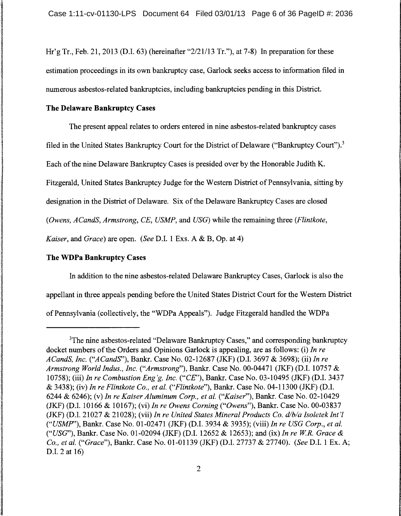Hr'g Tr., Feb. 21, 2013 (D.I. 63) (hereinafter "2/21113 Tr."), at 7-8) In preparation for these estimation proceedings in its own bankruptcy case, Garlock seeks access to information filed in numerous asbestos-related bankruptcies, including bankruptcies pending in this District.

# **The Delaware Bankruptcy** Cases

The present appeal relates to orders entered in nine asbestos-related bankruptcy cases filed in the United States Bankruptcy Court for the District of Delaware ("Bankruptcy Court").<sup>3</sup> Each of the nine Delaware Bankruptcy Cases is presided over by the Honorable Judith K. Fitzgerald, United States Bankruptcy Judge for the Western District of Pennsylvania, sitting by designation in the District of Delaware. Six of the Delaware Bankruptcy Cases are closed *(Owens, ACandS, Armstrong, CE, USMP,* and *USG)* while the remaining three *(Flintkote, Kaiser,* and *Grace)* are open. *(See* D.I. 1 Exs. A & B, Op. at 4)

## **The WDPa Bankruptcy** Cases

In addition to the nine asbestos-related Delaware Bankruptcy Cases, Garlock is also the appellant in three appeals pending before the United States District Court for the Western District of Pennsylvania (collectively, the "WDPa Appeals"). Judge Fitzgerald handled the WDPa

<sup>&</sup>lt;sup>3</sup>The nine asbestos-related "Delaware Bankruptcy Cases," and corresponding bankruptcy docket numbers of the Orders and Opinions Garlock is appealing, are as follows: (i) *In re ACandS, Inc. ("ACandS''),* Bankr. Case No. 02-12687 (JKF) (D.I. 3697 & 3698); (ii) *In re Armstrong World Indus., Inc. ("Armstrong"),* Bankr. Case No. 00-04471 (JKF) (D.I. 10757 & 10758); (iii) *In re Combustion Eng'g, Inc. ("CE'),* Bankr. Case No. 03-10495 (JKF) (D.I. 3437 & 3438); (iv) *In re Flintkote Co., et al. ("Flintkote"),* Bankr. Case No. 04-11300 (JKF) (D.I. 6244 & 6246); (v) *In re Kaiser Aluminum Corp., et al. ("Kaiser"),* Bankr. Case No. 02-10429 (JKF) (D.I. 10166 & 10167); (vi) *In re Owens Corning ("Owens"),* Bankr. Case No. 00-03837 (JKF) (D.I. 21027 & 21028); (vii) *In reUnited States Mineral Products Co. d/b/a Isoletek Int'l ("USMP"),* Bankr. Case No. 01-02471 (JKF) (D.I. 3934 & 3935); (viii) *In re USG Corp., et al. ("USG"),* Bankr. Case No. 01-02094 (JKF) (D.I. 12652 & 12653); and (ix) *In re WR. Grace* & *Co., et al. ("Grace"),* Bankr. Case No. 01-01139 (JKF) (D.I. 27737 & 27740). *(See* D.I. 1 Ex. A; D.I. 2 at 16)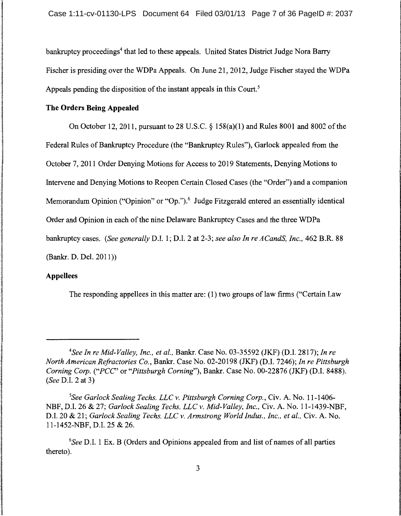bankruptcy proceedings<sup>4</sup> that led to these appeals. United States District Judge Nora Barry Fischer is presiding over the WDPa Appeals. On June 21, 2012, Judge Fischer stayed the WDPa Appeals pending the disposition of the instant appeals in this Court.<sup>5</sup>

# **The Orders Being Appealed**

On October 12, 2011, pursuant to 28 U.S.C.  $\S$  158(a)(1) and Rules 8001 and 8002 of the Federal Rules of Bankruptcy Procedure (the "Bankruptcy Rules"), Garlock appealed from the October 7, 2011 Order Denying Motions for Access to 2019 Statements, Denying Motions to Intervene and Denying Motions to Reopen Certain Closed Cases (the "Order") and a companion Memorandum Opinion ("Opinion" or "Op.").<sup>6</sup> Judge Fitzgerald entered an essentially identical Order and Opinion in each of the nine Delaware Bankruptcy Cases and the three WDPa bankruptcy cases. *(See generally* D.I. 1; D.I. 2 at 2-3; *see also In re ACandS, Inc.,* 462 B.R. 88 (Bankr. D. Del. 2011))

### **Appellees**

l

**.**<br>1984: Maria Mondonia<br>1984: Maria Mondonia **International Activities** 

I

The responding appellees in this matter are: (1) two groups of law firms ("Certain Law

*<sup>4</sup> See In re Mid-Valley, Inc., et al.,* Bankr. Case No. 03-35592 (JKF) (D.I. 2817); *In re North American Refractories Co.,* Bankr. Case No. 02-20198 (JKF) (D.I. 7246); *In re Pittsburgh Corning Corp. ("PCC'* or *"Pittsburgh Corning"),* Bankr. Case No. 00-22876 (JKF) (D.I. 8488). *(See* D.I. 2 at 3)

*<sup>5</sup> See Garlock Sealing Techs. LLC v. Pittsburgh Corning Corp.,* Civ. A. No. 11-1406- NBF, D.I. 26 & 27; *Garlock Sealing Techs. LLC v. Mid-Valley, Inc.,* Civ. A. No. 11-1439-NBF, D.I. 20 & 21; *Garlock Sealing Techs. LLC v. Armstrong World Indus., Inc., et al., Civ. A. No.* 11-1452-NBF, D.I. 25 & 26.

<sup>6</sup>*See* D .I. 1 Ex. B (Orders and Opinions appealed from and list of names of all parties thereto).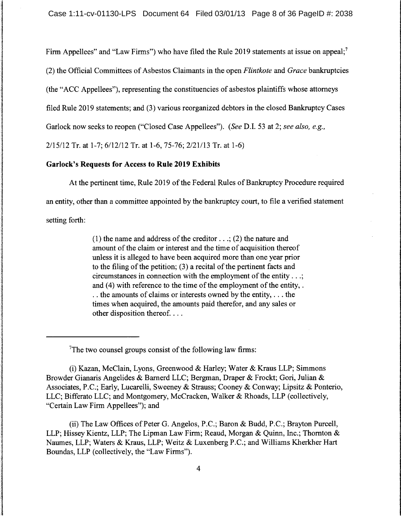Firm Appellees" and "Law Firms") who have filed the Rule 2019 statements at issue on appeal;<sup>7</sup>

(2) the Official Committees of Asbestos Claimants in the open *Flintkote* and *Grace* bankruptcies

(the "ACC Appellees"), representing the constituencies of asbestos plaintiffs whose attorneys

filed Rule 2019 statements; and (3) various reorganized debtors in the closed Bankruptcy Cases

Garlock now seeks to reopen ("Closed Case Appellees"). *(See* D.I. 53 at 2; *see also, e.g.,* 

2115/12 Tr. at 1-7; 6/12112 Tr. at 1-6, 75-76; 2/21/13 Tr. at 1-6)

## **Garlock's Requests for** Access **to Rule 2019 Exhibits**

At the pertinent time, Rule 2019 of the Federal Rules of Bankruptcy Procedure required

an entity, other than a committee appointed by the bankruptcy court, to file a verified statement

setting forth:

(1) the name and address of the creditor  $\dots$ ; (2) the nature and amount of the claim or interest and the time of acquisition thereof unless it is alleged to have been acquired more than one year prior to the filing of the petition; (3) a recital of the pertinent facts and circumstances in connection with the employment of the entity ... ; and (4) with reference to the time of the employment of the entity, . . . the amounts of claims or interests owned by the entity, ... the times when acquired, the amounts paid therefor, and any sales or other disposition thereof. ...

The two counsel groups consist of the following law firms:

(i) Kazan, McClain, Lyons, Greenwood & Harley; Water & Kraus LLP; Simmons Browder Gianaris Angelides & Bamerd LLC; Bergman, Draper & Frockt; Gori, Julian & Associates, P.C.; Early, Lucarelli, Sweeney & Strauss; Cooney & Conway; Lipsitz & Ponterio, LLC; Bifferato LLC; and Montgomery, McCracken, Walker & Rhoads, LLP (collectively, "Certain Law Firm Appellees"); and

(ii) The Law Offices of Peter G. Angelos, P.C.; Baron & Budd, P.C.; Brayton Purcell, LLP; Hissey Kientz, LLP; The Lipman Law Firm; Reaud, Morgan & Quinn, Inc.; Thornton & Naumes, LLP; Waters & Kraus, LLP; Weitz & Luxenberg P.C.; and Williams Kherkher Hart Boundas, LLP (collectively, the "Law Firms").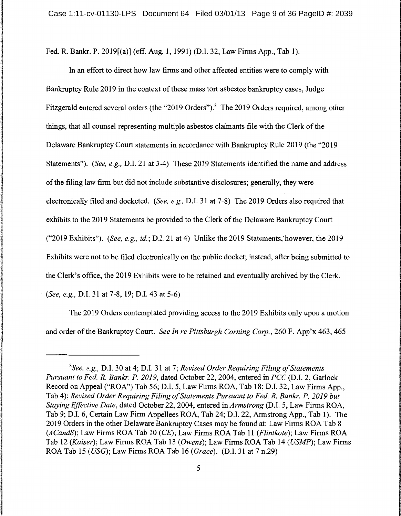Fed. R. Bankr. P. 2019[(a)] (eff. Aug. 1, 1991) (D.I. 32, Law Firms App., Tab 1).

l

**INVERSIONER** 

**11. And Markets** 

la selengah di kacamatan di kacamatan dan kacamatan di kacamatan dan kacamatan dan kacamatan dan kacamatan dan<br>Kacamatan dan kacamatan dan kacamatan dan kacamatan dan kacamatan dan kacamatan dan kacamatan dan kacamatan da

je izabeljana područana.<br>Glej podatka

I

In an effort to direct how law firms and other affected entities were to comply with Bankruptcy Rule 2019 in the context of these mass tort asbestos bankruptcy cases, Judge Fitzgerald entered several orders (the "2019 Orders").<sup>8</sup> The 2019 Orders required, among other things, that all counsel representing multiple asbestos claimants file with the Clerk of the Delaware Bankruptcy Court statements in accordance with Bankruptcy Rule 2019 (the "2019 Statements"). *(See, e.g.,* D.I. 21 at 3-4) These 2019 Statements identified the name and address of the filing law firm but did not include substantive disclosures; generally, they were electronically filed and docketed. *(See, e.g.,* D.I. 31 at 7-8) The 2019 Orders also required that exhibits to the 2019 Statements be provided to the Clerk of the Delaware Bankruptcy Court ("2019 Exhibits"). *(See, e.g., id.;* D.I. 21 at 4) Unlike the 2019 Statements;however, the 2019 Exhibits were not to be filed electronically on the public docket; instead, after being submitted to the Clerk's office, the 2019 Exhibits were to be retained and eventually archived by the Clerk. *(See, e.g.,* D.I. 31 at 7-8, 19; D.I. 43 at 5-6)

The 2019 Orders contemplated providing access to the 2019 Exhibits only upon a motion and order of the Bankruptcy Court. *See In re Pittsburgh Corning Corp.,* 260 F. App'x 463, 465

*<sup>8</sup> See, e.g.,* D.I. 30 at 4; D.I. 31 at 7; *Revised Order Requiring Filing of Statements Pursuant to Fed. R. Bankr.* P. *2019,* dated October 22, 2004, entered in *PCC* (D.I. 2, Garlock Record on Appeal ("ROA'') Tab 56; D.I. 5, Law Firms ROA, Tab 18; D.I. 32, Law Firms App., Tab 4); *Revised Order Requiring Filing of Statements Pursuant to Fed. R. Bankr. P. 2019 but Staying Effective Date,* dated October 22, 2004, entered in *Armstrong* (D.I. 5, Law Firms ROA, Tab 9; D.I. 6, Certain Law Firm Appellees ROA, Tab 24; D.I. 22, Armstrong App., Tab 1). The 2019 Orders in the other Delaware Bankruptcy Cases may be found at: Law Firms ROA Tab 8 *(ACandS);* Law Firms ROA Tab 10 (CE); Law Firms ROA Tab 11 *(Flintkote);* Law Firms ROA Tab 12 *(Kaiser);* Law Firms ROA Tab 13 *(Owens);* Law Firms ROA Tab 14 *(USMP);* Law Firms ROA Tab 15 *(USG);* Law Firms ROA Tab 16 *(Grace).* (D.I. 31 at 7 n.29)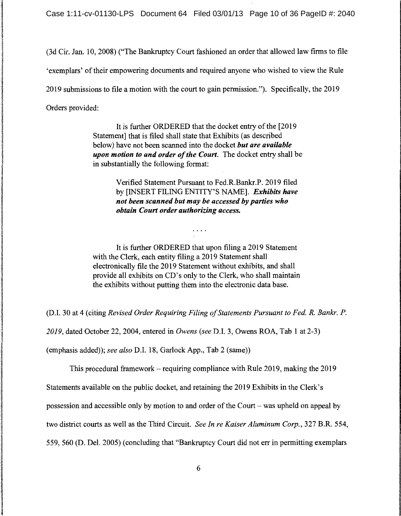la salah sahiji déngan kacamatan sahiji déngan kacamatan sahiji déngan kacamatan sahiji déngan kacamatan sahij<br>Kabupatèn Salah Salah Salah Salah Salah Salah Salah Salah Salah Salah Salah Salah Salah Salah Salah Salah Sala

I

**INGLASH BERKING** 

**indan kecamatan di Kabupatén Sulawa**<br>Kabupatèn Jawa Bandaré

**Line in The Adam of Picture op Claim in**<br>In the Claim of the Adam of the Adam of the Adam of the Adam of the Adam of the Adam of the Adam of the Adam o

I I

alaita ja taloittivat kohtaa kohtaa kohtaa kohtaa kohtaa kohtaa kohtaa kohtaa kohtaa kohtaa kohtaa kohtaa koht

I

jednja u Leton u Sri

~ 1135555510

linga saaraa saaraa lagu saaraa saaraa saaraa saaraa saaraa saaraa saaraa saaraa saaraa saaraa saaraa saaraa s<br>Tariikhii kara saaraa saaraa saaraa saaraa saaraa saaraa saaraa saaraa saaraa saaraa saaraa saaraa saaraa saar

(3d Cir. Jan. 10, 2008) ("The Bankruptcy Court fashioned an order that allowed law firms to file 'exemplars' of their empowering documents and required anyone who wished to view the Rule 2019 submissions to file a motion with the court to gain permission."). Specifically, the 2019 Orders provided:

> It is further ORDERED that the docket entry of the [2019 Statement] that is filed shall state that Exhibits (as described below) have not been scanned into the docket *but are available upon motion to and order of the Court.* The docket entry shall be in substantially the following format:

> > Verified Statement Pursuant to Fed.R.Bankr.P. 2019 filed by [INSERT FILING ENTITY'S NAME]. *Exhibits have not been scanned but may be accessed by parties who obtain Court order authorizing access.*

It is further ORDERED that upon filing a 2019 Statement with the Clerk, each entity filing a 2019 Statement shall electronically file the 2019 Statement without exhibits, and shall provide all exhibits on CD's only to the Clerk, who shall maintain the exhibits without putting them into the electronic data base.

. . . .

(D.I. 30 at 4 (citing *Revised Order Requiring Filing of Statements Pursuant to Fed. R. Bankr. P.* 

*2019,* dated October 22, 2004, entered in *Owens (see* D.I. 3, Owens ROA, Tab 1 at 2-3)

(emphasis added)); *see also* D.I. 18, Garlock App., Tab 2 (same))

This procedural framework - requiring compliance with Rule 2019, making the 2019

Statements available on the public docket, and retaining the 2019 Exhibits in the Clerk's

possession and accessible only by motion to and order of the Court – was upheld on appeal by

two district courts as well as the Third Circuit. *See In re Kaiser Aluminum Corp.,* 327 B.R. 554,

559, 560 (D. Del. 2005) (concluding that "Bankruptcy Court did not err in permitting exemplars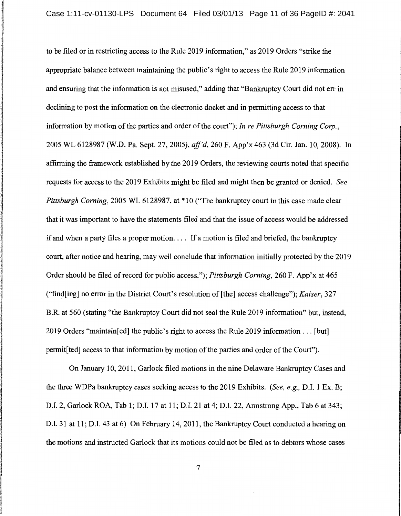to be filed or in restricting access to the Rule 2019 information," as 2019 Orders "strike the appropriate balance between maintaining the public's right to access the Rule 2019 information and ensuring that the information is not misused," adding that "Bankruptcy Court did not err in declining to post the information on the electronic docket and in permitting access to that information by motion of the parties and order of the court"); *In re Pittsburgh Corning Corp.,*  2005 WL 6128987 (W.D. Pa. Sept. 27, 2005), *aff'd,* 260 F. App'x 463 (3d Cir. Jan. 10, 2008). In affirming the framework established by the 2019 Orders, the reviewing courts noted that specific requests for access to the 2019 Exhibits might be filed and might then be granted or denied. *See Pittsburgh Corning,* 2005 WL 6128987, at \*10 ("The bankruptcy court in this case made clear that it was important to have the statements filed and that the issue of access would be addressed if and when a party files a proper motion. . . . If a motion is filed and briefed, the bankruptcy court, after notice and hearing, may well conclude that information initially protected by the 2019 Order should be filed of record for public access."); *Pittsburgh Corning,* 260 F. App'x at 465 ("find[ing] no error in the District Court's resolution of[the] access challenge"); *Kaiser,* 327 B.R. at 560 (stating "the Bankruptcy Court did not seal the Rule 2019 information" but, instead, 2019 Orders "maintain[ed] the public's right to access the Rule 2019 information ... [but] permit[ted] access to that information by motion of the parties and order of the Court").

en de la statute de la statute de la statute de la statute de la statute de la statute de la statute de la sta<br>La statute de la statute de la statute de la statute de la statute de la statute de la statute de la statute d

l

I '

I

**ELEVAN ARABASEKAN KENYA** 

On January 10, 2011, Garlock filed motions in the nine Delaware Bankruptcy Cases and the three WDPa bankruptcy cases seeking access to the 2019 Exhibits. *(See, e.g.,* D.I. 1 Ex. B; D.I. 2, Garlock ROA, Tab 1; D.I. 17 at 11; D.I. 21 at 4; D.I. 22, Armstrong App., Tab 6 at 343; D.I. 31 at 11; D.I. 43 at 6) On February 14, 2011, the Bankruptcy Court conducted a hearing on the motions and instructed Garlock that its motions could not be filed as to debtors whose cases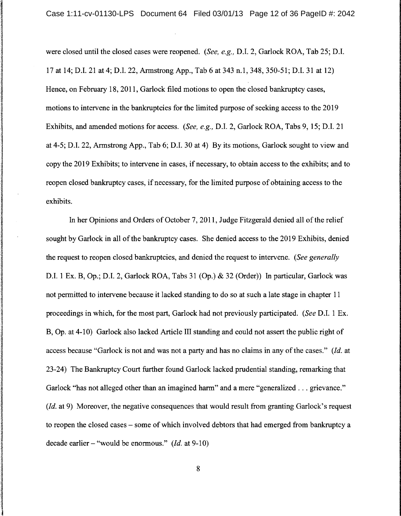には「そのことのことをしている」ということをしている。<br>このことは、このことをしている。<br>このことは、このことは、このことは、このことは、このことは、このことは、このことは、このことは、このことは、このことは、このことは、このことは、このことは、このことは、このことは、このことは、このことは、このことは、この

1

the Andrew Police (and Andrew Police Police Police Police Police Police Police Police Police Police Police Pol<br>1980 - Police Police Police Police Police Police Police Police Police Police Police Police Police Police Poli

l

je predstavanjem poznatava.<br>Dogodki

an di Kabupatèn Selaman Kabupatèn Jawa Terang Kabupatèn Jawa Terang Kabupatèn Jawa Terang Kabupatèn Jawa Teran<br>J

ting of the College Party of the College.<br>The College Party of the College Party of the College Party of the College Party of the College Party of the C ا بال<br>ا

were closed until the closed cases were reopened. *(See, e.g.,* D.I. 2, Garlock ROA, Tab 25; D.I. 17 at 14; D.I. 21 at4; D.I. 22, Armstrong App., Tab 6 at 343 n.1, 348, 350-51; D.I. 31 at 12) Hence, on February 18, 2011, Garlock filed motions to open the closed bankruptcy cases, motions to intervene in the bankruptcies for the limited purpose of seeking access to the 2019 Exhibits, and amended motions for access. *(See, e.g.,* D.I. 2, Garlock ROA, Tabs 9, 15; D.I. 21 at 4-5; D.I. 22, Armstrong App., Tab 6; D.I. 30 at 4) By its motions, Garlock sought to view and copy the 2019 Exhibits; to intervene in cases, if necessary, to obtain access to the exhibits; and to reopen closed bankruptcy cases, if necessary, for the limited purpose of obtaining access to the exhibits.

In her Opinions and Orders of October 7, 2011, Judge Fitzgerald denied all ofthe relief sought by Garlock in all of the bankruptcy cases. She denied access to the 2019 Exhibits, denied the request to reopen closed bankruptcies, and denied the request to intervene. *(See generally*  D.I. 1 Ex. B, Op.; D.I. 2, Garlock ROA, Tabs 31 (Op.) & 32 (Order)) In particular, Garlock was not permitted to intervene because it lacked standing to do so at such a late stage in chapter 11 proceedings in which, for the most part, Garlock had not previously participated. *(See D.I. 1 Ex.* B, Op. at 4-10) Garlock also lacked Article III standing and could not assert the public right of access because "Garlock B, Op. at 4-10) Garlock also lacked Article III standing and could not assert the public right of 23-24) The Bankruptcy Court further found Garlock lacked prudential standing, remarking that Garlock "has not alleged other than an imagined harm" and a mere "generalized . . . grievance."  $(id. at 9)$  Moreover, the negative consequences that would result from granting Garlock's request to reopen the closed cases - some of which involved debtors that had emerged from bankruptcy a decade earlier – "would be enormous."  $(Id.$  at 9-10)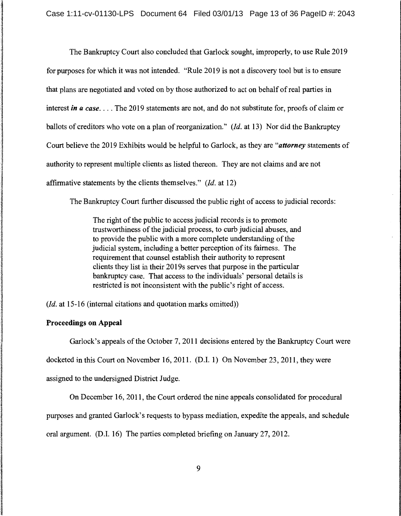The Bankruptcy Court also concluded that Garlock sought, improperly, to use Rule 2019 for purposes for which it was not intended. "Rule 2019 is not a discovery tool but is to ensure that plans are negotiated and voted on by those authorized to act on behalf of real parties in interest *in a case .* ... The 2019 statements are not, and do not substitute for, proofs of claim or ballots of creditors who vote on a plan of reorganization."  $(Id.$  at 13) Nor did the Bankruptcy Court believe the 2019 Exhibits would be helpful to Garlock, as they are *"attorney* statements of authority to represent multiple clients as listed thereon. They are not claims and are not affirmative statements by the clients themselves."  $(Id.$  at 12)

The Bankruptcy Court further discussed the public right of access to judicial records:

The right of the public to access judicial records is to promote trustworthiness of the judicial process, to curb judicial abuses, and to provide the public with a more complete understanding of the judicial system, including a better perception of its fairness. The requirement that counsel establish their authority to represent clients they list in their 2019s serves that purpose in the particular bankruptcy case. That access to the individuals' personal details is restricted is not inconsistent with the public's right of access.

 $(Id. at 15-16 (internal citations and quotation marks omitted))$ 

## **Proceedings on Appeal**

·~ i j

landelajak olega tasaka kaska kaska kaska kaska kaska kaska kaska<br>1990 - Paris Barat Barat Barat Barat Barat Barat Barat Barat Barat Barat Barat Barat Barat Barat Barat Barat B

**Johnson** 

Garlock's appeals of the October 7, 2011 decisions entered by the Bankruptcy Court were docketed in this Court on November 16, 2011. (D.I. 1) On November 23, 2011, they were assigned to the undersigned District Judge.

On December 16, 2011, the Court ordered the nine appeals consolidated for procedural

purposes and granted Garlock's requests to bypass mediation, expedite the appeals, and schedule

oral argument. (D.I. 16) The parties completed briefing on January 27, 2012.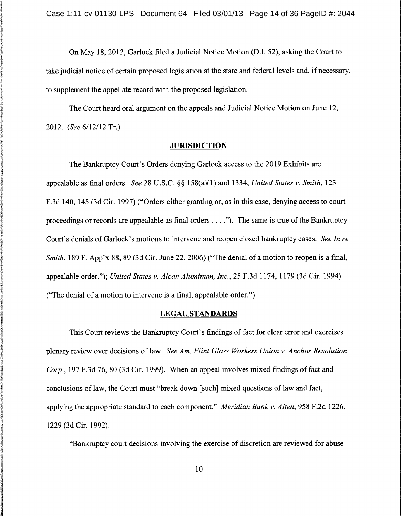ling om de fantale om de gemeente gewone om de gemeente gemeente gemeente gemeente gemeente gemeente gemeente<br>De gemeente gemeente gemeente gemeente gemeente gemeente gemeente gemeente gemeente gemeente gemeente gemeente

an an amarana.<br>I

i

lande de la fondata de la participa de la fondata de la fondata de la fondata de la fondata de la fondata de l<br>La fondata de la fondata de la fondata de la fondata de la fondata de la fondata de la fondata de la fondata d

On May 18, 2012, Garlock filed a Judicial Notice Motion (D.I. 52), asking the Court to take judicial notice of certain proposed legislation at the state and federal levels and, if necessary, to supplement the appellate record with the proposed legislation.

The Court heard oral argument on the appeals and Judicial Notice Motion on June 12, 2012. *(See* 6/12112 Tr.)

#### **JURISDICTION**

The Bankruptcy Court's Orders denying Garlock access to the 2019 Exhibits are appealable as final orders. *See* 28 U.S.C. §§ 158(a)(1) and 1334; *United States v. Smith,* 123 F.3d 140, 145 (3d Cir. 1997) ("Orders either granting or, as in this case, denying access to court proceedings or records are appealable as final orders .... "). The same is true of the Bankruptcy Court's denials of Garlock's motions to intervene and reopen closed bankruptcy cases. *See In re Smith,* 189 F. App'x 88, 89 (3d Cir. June 22, 2006) ("The denial of a motion to reopen is a final, appealable order."); *United States v. Alcan Aluminum, Inc.,* 25 F.3d 1174, 1179 (3d Cir. 1994) ("The denial of a motion to intervene is a final, appealable order.").

#### **LEGAL STANDARDS**

This Court reviews the Bankruptcy Court's findings of fact for clear error and exercises plenary review over decisions of law. See Am. Flint Glass Workers Union v. Anchor Resolution *Corp.,* 197 F.3d 76, 80 (3d Cir. 1999). When an appeal involves mixed findings of fact and conclusions of law, the Court must "break down [such] mixed questions of law and fact, applying the appropriate standard to each component." *Meridian Bank v. Alten,* 958 F.2d 1226, 1229 (3d Cir. 1992).

"Bankruptcy court decisions involving the exercise of discretion are reviewed for abuse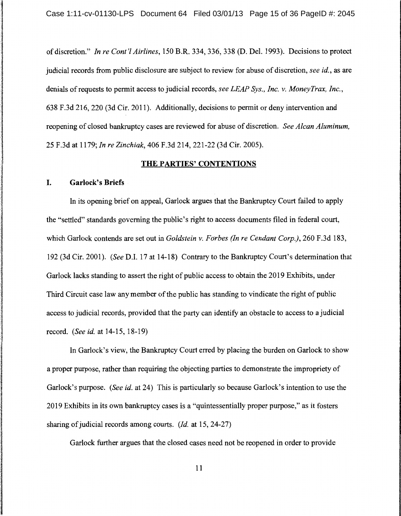of discretion." *In re Cont 'l Airlines,* 150 B.R. 334, 336, 338 (D. Del. 1993). Decisions to protect judicial records from public disclosure are subject to review for abuse of discretion, *see id.,* as are denials of requests to permit access to judicial records, *see LEAP Sys., Inc.* v. *MoneyTrax, Inc.,*  638 F.3d 216, 220 (3d Cir. 2011). Additionally, decisions to permit or deny intervention and reopening of closed bankruptcy cases are reviewed for abuse of discretion. *See A/can Aluminum,*  25 F.3d at 1179; *In re Zinchiak,* 406 F.3d 214, 221-22 (3d Cir. 2005).

#### **THE PARTIES' CONTENTIONS**

#### **I. Garlock's Briefs**

In its opening brief on appeal, Garlock argues that the Bankruptcy Court failed to apply the "settled" standards governing the public's right to access documents filed in federal court, which Garlock contends are set out in *Goldstein* v. *Forbes (In re Cendant Corp.),* 260 F.3d 183, 192 (3d Cir. 2001). (See D.I. 17 at 14-18) Contrary to the Bankruptcy Court's determination that Garlock lacks standing to assert the right of public access to obtain the 2019 Exhibits, under Third Circuit case law any member of the public has standing to vindicate the right of public access to judicial records, provided that the party can identify an obstacle to access to a judicial l record. (See *id.* at 14-15, 18-19)

In Garlock's view, the Bankruptcy Court erred by placing the burden on Garlock to show a proper purpose, rather than requiring the objecting parties to demonstrate the impropriety of Garlock's purpose. (See *id.* at 24) This is particularly so because Garlock's intention to use the 2019 Exhibits in its own bankruptcy cases is a "quintessentially proper purpose," as it fosters sharing of judicial records among courts. *(!d.* at 15, 24-27)

Garlock further argues that the closed cases need not be reopened in order to provide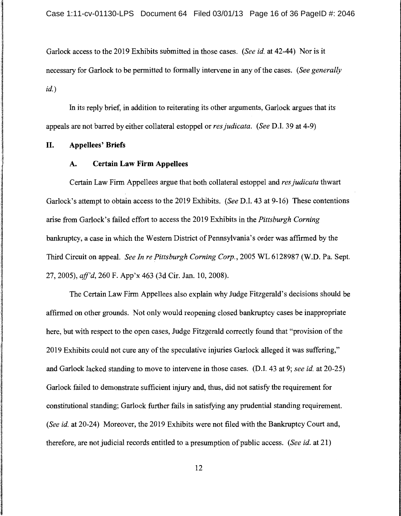Garlock access to the 2019 Exhibits submitted in those cases. *(See id.* at 42-44) Nor is it necessary for Garlock to be permitted to formally intervene in any of the cases. *(See generally id.)* 

In its reply brief, in addition to reiterating its other arguments, Garlock argues that its appeals are not barred by either collateral estoppel or *res judicata. (See* D.l. 39 at 4-9)

#### **II. Appellees' Briefs**

l

I

~ 14. بالمائية<br>14. بالمائية ancesaria anterioria.<br>Internacional

### **A. Certain Law Firm Appellees**

Certain Law Firm Appellees argue that both collateral estoppel and *res judicata* thwart Garlock's attempt to obtain access to the 2019 Exhibits. *(See* D.l. 43 at 9-16) These contentions arise from Garlock's failed effort to access the 2019 Exhibits in the *Pittsburgh Corning*  bankruptcy, a case in which the Western District of Pennsylvania's order was affirmed by the Third Circuit on appeal. *See In re Pittsburgh Corning Corp.,* 2005 WL 6128987 (W.D. Pa. Sept. 27, 2005), *aff'd,* 260 F. App'x 463 (3d Cir. Jan. 10, 2008).

The Certain Law Firm Appellees also explain why Judge Fitzgerald's decisions should be affirmed on other grounds. Not only would reopening closed bankruptcy cases be inappropriate here, but with respect to the open cases, Judge Fitzgerald correctly found that "provision of the 2019 Exhibits could not cure any of the speculative injuries Garlock alleged it was suffering," and Garlock lacked standing to move to intervene in those cases. (D.I. 43 at 9; *see id.* at 20-25) Garlock failed to demonstrate sufficient injury and, thus, did not satisfy the requirement for constitutional standing; Garlock further fails in satisfying any prudential standing requirement. *(See id.* at 20-24) Moreover, the 2019 Exhibits were not filed with the Bankruptcy Court and, therefore, are not judicial records entitled to a presumption of public access. *(See id.* at 21)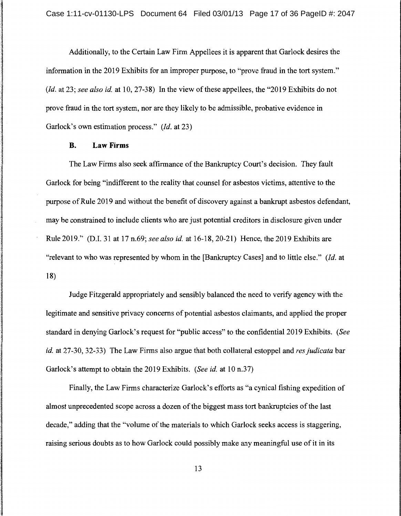Additionally, to the Certain Law Firm Appellees it is apparent that Garlock desires the information in the 2019 Exhibits for an improper purpose, to "prove fraud in the tort system." *(Id. at 23; see also id. at 10, 27-38)* In the view of these appellees, the "2019 Exhibits do not prove fraud in the tort system, nor are they likely to be admissible, probative evidence in Garlock's own estimation process." (*Id.* at 23)

#### **B. Law Firms**

I

**International Control of Control Control of Control Control Control Control Control Control Control Control Co**<br>International Control Control Control Control Control Control Control Control Control Control Control Control

la state de la state de la state de la state de la state de la state de la state de la state de la state de la<br>La state de la state de la state de la state de la state de la state de la state de la state de la state de la

The Law Firms also seek affirmance of the Bankruptcy Court's decision. They fault Garlock for being "indifferent to the reality that counsel for asbestos victims, attentive to the purpose of Rule 2019 and without the benefit of discovery against a bankrupt asbestos defendant, may be constrained to include clients who are just potential creditors in disclosure given under Rule 2019." (D.I. 31 at 17 n.69; *see also id.* at 16-18, 20-21) Hence, the 2019 Exhibits are "relevant to who was represented by whom in the [Bankruptcy Cases] and to little else." (Id. at 18)

Judge Fitzgerald appropriately and sensibly balanced the need to verify agency with the legitimate and sensitive privacy concerns of potential asbestos claimants, and applied the proper standard in denying Garlock's request for "public access" to the confidential2019 Exhibits. *(See id.* at 27-30, 32-33) The Law Firms also argue that both collateral estoppel and *res judicata* bar Garlock's attempt to obtain the 2019 Exhibits. *(See id.* at 10 n.37)

Finally, the Law Firms characterize Garlock's efforts as "a cynical fishing expedition of almost unprecedented scope across a dozen of the biggest mass tort bankruptcies of the last decade," adding that the "volume of the materials to which Garlock seeks access is staggering, raising serious doubts as to how Garlock could possibly make any meaningful use of it in its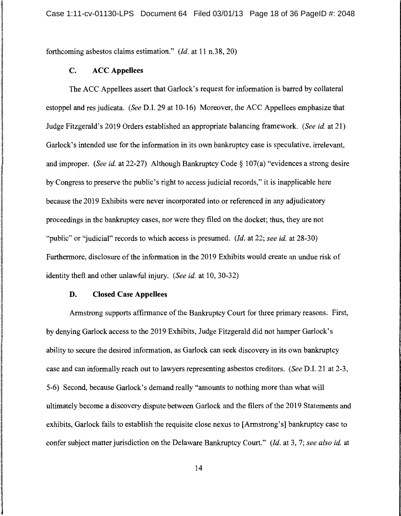forthcoming asbestos claims estimation." *(Id.* at 11 n.38, 20)

#### C. ACC Appellees

ANG MARA jak (Kaipaan Sanda) (Ka)<br>K j

l

l

The ACC Appellees assert that Garlock's request for information is barred by collateral estoppel and res judicata. *(See* D.I. 29 at 10-16) Moreover, the ACC Appellees emphasize that Judge Fitzgerald's 2019 Orders established an appropriate balancing framework. *(See id.* at 21) Garlock's intended use for the information in its own bankruptcy case is speculative, irrelevant, and improper. *(See id.* at 22-27) Although Bankruptcy Code § 107(a) "evidences a strong desire by Congress to preserve the public's right to access judicial records," it is inapplicable here because the 2019 Exhibits were never incorporated into or referenced in any adjudicatory proceedings in the bankruptcy cases, nor were they filed on the docket; thus, they are not "public" or "judicial" records to which access is presumed. *(ld.* at 22; *see id.* at 28-30) Furthermore, disclosure of the information in the 2019 Exhibits would create an undue risk of identity theft and other unlawful injury. *(See id.* at 10, 30-32)

### D. Closed Case Appellees

Armstrong supports affirmance of the Bankruptcy Court for three primary reasons. First, by denying Garlock access to the 2019 Exhibits, Judge Fitzgerald did not hamper Garlock's ability to secure the desired information, as Garlock can seek discovery in its own bankruptcy case and can informally reach out to lawyers representing asbestos creditors. *(See* D.I. 21 at 2-3, 5-6) Second, because Garlock's demand really "amounts to nothing more than what will ultimately become a discovery dispute between Garlock and the filers of the 2019 Statements and exhibits, Garlock fails to establish the requisite close nexus to [Armstrong's] bankruptcy case to confer subject matter jurisdiction on the Delaware Bankruptcy Court." *(Id.* at 3, 7; *see also id.* at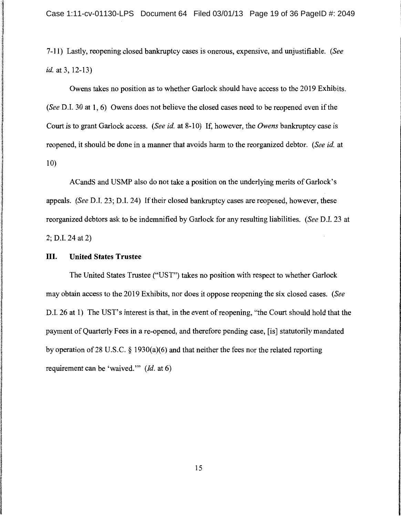7-11) Lastly, reopening closed bankruptcy cases is onerous, expensive, and unjustifiable. *(See id.* at 3, 12-13)

Owens takes no position as to whether Garlock should have access to the 2019 Exhibits. *(See* D.I. 30 at 1, 6) Owens does not believe the closed cases need to be reopened even if the Court is to grant Garlock access. *(See id. at 8-10)* If, however, the *Owens* bankruptcy case is reopened, it should be done in a manner that avoids harm to the reorganized debtor. *(See id.* at 10)

ACandS and USMP also do not take a position on the underlying merits of Garlock's appeals. *(See* D.I. 23; D.I. 24) If their closed bankruptcy cases are reopened, however, these reorganized debtors ask to be indemnified by Garlock for any resulting liabilities. *(See* D.I. 23 at 2; D.I. 24 at 2)

## **III. United States Trustee**

The United States Trustee ("UST") takes no position with respect to whether Garlock may obtain access to the 2019 Exhibits, nor does it oppose reopening the six closed cases. *(See*  D.I. 26 at 1) The UST's interest is that, in the event of reopening, "the Court should hold that the payment of Quarterly Fees in a re-opened, and therefore pending case, [is] statutorily mandated by operation of28 U.S.C. § 1930(a)(6) and that neither the fees nor the related reporting requirement can be 'waived."  $(Id. 3t 6)$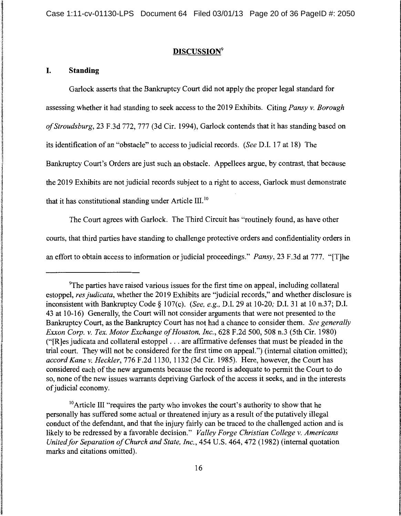## **DISCUSSION<sup>9</sup>**

#### I. **Standing**

Garlock asserts that the Bankruptcy Court did not apply the proper legal standard for assessing whether it had standing to seek access to the 2019 Exhibits. Citing *Pansy v. Borough of Stroudsburg,* 23 F.3d 772, 777 (3d Cir. 1994), Garlock contends that it has standing based on its identification of an "obstacle" to access to judicial records. *(See* D.I. 17 at 18) The Bankruptcy Court's Orders are just such an obstacle. Appellees argue, by contrast, that because the 2019 Exhibits are not judicial records subject to a right to access, Garlock must demonstrate that it has constitutional standing under Article III. <sup>10</sup>

The Court agrees with Garlock. The Third Circuit has "routinely found, as have other courts, that third parties have standing to challenge protective orders and confidentiality orders in an effort to obtain access to information or judicial proceedings." *Pansy,* 23 F.3d at 777. "[T]he

<sup>10</sup>Article III "requires the party who invokes the court's authority to show that he personally has suffered some actual or threatened injury as a result of the putatively illegal conduct of the defendant, and that the injury fairly can be traced to the challenged action and is likely to be redressed by a favorable decision." *Valley Forge Christian College v. Americans United for Separation of Church and State, Inc.,* 454 U.S. 464, 472 (1982) (internal quotation marks and citations omitted).

<sup>9</sup> The parties have raised various issues for the first time on appeal, including collateral estoppel, *res judicata,* whether the 2019 Exhibits are "judicial records," and whether disclosure is inconsistent with Bankruptcy Code§ 107(c). *(See, e.g.,* D.I. 29 at 10-20; D.I. 31 at 10 n.37; D.I. 43 at 10-16) Generally, the Court will not consider arguments that were not presented to the Bankruptcy Court, as the Bankruptcy Court has not had a chance to consider them. *See generally Exxon Corp. v. Tex. Motor Exchange of Houston, Inc.,* 628 F.2d 500, 508 n.3 (5th Cir. 1980) ("[R]es judicata and collateral estoppel ... are affirmative defenses that must be pleaded in the trial court. They will not be considered for the first time on appeal.") (internal citation omitted); *accord Kane v. Heckler,* 776 F.2d 1130, 1132 (3d Cir. 1985). Here, however, the Court has considered each of the new arguments because the record is adequate to permit the Court to do so, none of the new issues warrants depriving Garlock of the access it seeks, and in the interests of judicial economy.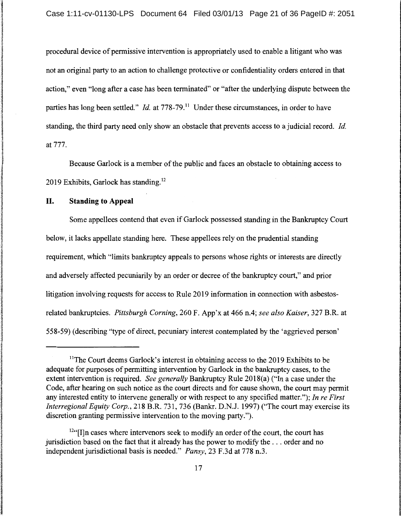procedural device of permissive intervention is appropriately used to enable a litigant who was not an original party to an action to challenge protective or confidentiality orders entered in that action," even "long after a case has been terminated" or "after the underlying dispute between the parties has long been settled." *Id.* at 778-79.<sup>11</sup> Under these circumstances, in order to have standing, the third party need only show an obstacle that prevents access to a judicial record. *!d.*  at 777.

Because Garlock is a member of the public and faces an obstacle to obtaining access to 2019 Exhibits, Garlock has standing. <sup>12</sup>

# **II. Standing to Appeal**

Some appellees contend that even if Garlock possessed standing in the Bankruptcy Court below, it lacks appellate standing here. These appellees rely on the prudential standing requirement, which "limits bankruptcy appeals to persons whose rights or interests are directly and adversely affected pecuniarily by an order or decree of the bankruptcy court," and prior litigation involving requests for access to Rule 2019 information in connection with asbestosrelated bankruptcies. *Pittsburgh Corning,* 260 F. App'x at 466 n.4; *see also Kaiser,* 327 B.R. at 558-59) (describing "type of direct, pecuniary interest contemplated by the 'aggrieved person'

<sup>&</sup>lt;sup>11</sup>The Court deems Garlock's interest in obtaining access to the 2019 Exhibits to be adequate for purposes of permitting intervention by Garlock in the bankruptcy cases, to the extent intervention is required. *See generally* Bankruptcy Rule 2018(a) ("In a case under the Code, after hearing on such notice as the court directs and for cause shown, the court may permit any interested entity to intervene generally or with respect to any specified matter."); *In re First Interregional Equity Corp.,* 218 B.R. 731,736 (Bankr. D.N.J. 1997) ("The court may exercise its discretion granting permissive intervention to the moving party.").

 $12$ "[I]n cases where intervenors seek to modify an order of the court, the court has jurisdiction based on the fact that it already has the power to modify the ... order and no independent jurisdictional basis is needed." *Pansy,* 23 F.3d at 778 n.3.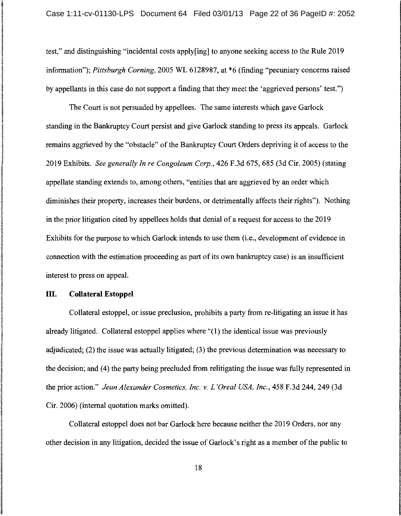test," and distinguishing "incidental costs apply[ing] to anyone seeking access to the Rule 2019 information"); *Pittsburgh Corning,* 2005 WL 6128987, at \*6 (finding "pecuniary concerns raised by appellants in this case do not support a finding that they meet the 'aggrieved persons' test.")

The Court is not persuaded by appellees. The same interests which gave Garlock standing in the Bankruptcy Court persist and give Garlock standing to press its appeals. Garlock remains aggrieved by the "obstacle" of the Bankruptcy Court Orders depriving it of access to the 2019 Exhibits. *See generally In re Congoleum Corp.,* 426 F.3d 675, 685 (3d Cir. 2005) (stating appellate standing extends to, among others, "entities that are aggrieved by an order which diminishes their property, increases their burdens, or detrimentally affects their rights"). Nothing in the prior litigation cited by appellees holds that denial of a request for access to the 2019 Exhibits for the purpose to which Garlock intends to use them (i.e., development of evidence in connection with the estimation proceeding as part of its own bankruptcy case) is an insufficient interest to press on appeal.

# III. **Collateral Estoppel**

Collateral estoppel, or issue preclusion, prohibits a party from re-litigating an issue it has already litigated. Collateral estoppel applies where "(1) the identical issue was previously adjudicated; (2) the issue was actually litigated; (3) the previous determination was necessary to the decision; and (4) the party being precluded from relitigating the issue was fully represented in the prior action." *Jean Alexander Cosmetics, Inc. v. L'Oreal USA, Inc.,* 458 F.3d 244, 249 (3d Cir. 2006) (internal quotation marks omitted).

Collateral estoppel does not bar Garlock here because neither the 2019 Orders, nor any other decision in any litigation, decided the issue of Garlock's right as a member of the public to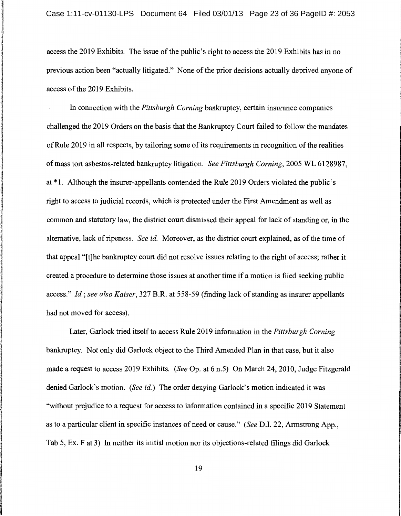access the 2019 Exhibits. The issue of the public's right to access the 2019 Exhibits has in no previous action been "actually litigated." None of the prior decisions actually deprived anyone of access of the 2019 Exhibits.

In connection with the *Pittsburgh Corning* bankruptcy, certain insurance companies challenged the 2019 Orders on the basis that the Bankruptcy Court failed to follow the mandates of Rule 2019 in all respects, by tailoring some of its requirements in recognition of the realities of mass tort asbestos-related bankruptcy litigation. *See Pittsburgh Corning,* 2005 WL 6128987, at \* 1. Although the insurer-appellants contended the Rule 2019 Orders violated the public's right to access to judicial records, which is protected under the First Amendment as well as common and statutory law, the district court dismissed their appeal for lack of standing or, in the alternative, lack of ripeness. *See id.* Moreover, as the district court explained, as of the time of that appeal "[t]he bankruptcy court did not resolve issues relating to the right of access; rather it created a procedure to determine those issues at another time if a motion is filed seeking public access." *Id.; see also Kaiser,* 327 B.R. at 558-59 (finding lack of standing as insurer appellants had not moved for access).

Later, Garlock tried itself to access Rule 2019 information in the *Pittsburgh Corning*  bankruptcy. Not only did Garlock object to the Third Amended Plan in that case, but it also made a request to access 2019 Exhibits. *(See* Op. at 6 n.5) On March 24, 2010, Judge Fitzgerald denied Garlock's motion. *(See id.)* The order denying Garlock's motion indicated it was "without prejudice to a request for access to information contained in a specific 2019 Statement as to a particular client in specific instances of need or cause." *(See* D.I. 22, Armstrong App., Tab 5, Ex. Fat 3) In neither its initial motion nor its objections-related filings did Garlock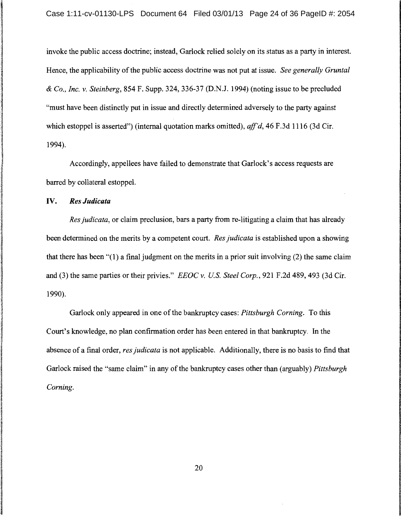invoke the public access doctrine; instead, Garlock relied solely on its status as a party in interest. Hence, the applicability of the public access doctrine was not put at issue. *See generally Gruntal*  & *Co., Inc. v. Steinberg,* 854 F. Supp. 324, 336-37 (D.N.J. 1994) (noting issue to be precluded "must have been distinctly put in issue and directly determined adversely to the party against which estoppel is asserted") (internal quotation marks omitted), *aff'd,* 46 F.3d 1116 (3d Cir. 1994).

Accordingly, appellees have failed to demonstrate that Garlock's access requests are barred by collateral estoppel.

### **IV.** *Res Judicata*

l and the state of the state of the state of the state of the state of the state of the state of the state of <br>The state of the state of the state of the state of the state of the state of the state of the state of the st<br>

*Res judicata,* or claim preclusion, bars a party from re-litigating a claim that has already been determined on the merits by a competent court. *Res judicata* is established upon a showing that there has been  $(1)$  a final judgment on the merits in a prior suit involving  $(2)$  the same claim and (3) the same parties or their privies." *EEOC v. U.S. Steel Corp.,* 921 F.2d 489, 493 (3d Cir. 1990).

Garlock only appeared in one of the bankruptcy cases: *Pittsburgh Corning.* To this Court's knowledge, no plan confirmation order has been entered in that bankruptcy. In the absence of a final order, *res judicata* is not applicable. Additionally, there is no basis to find that Garlock raised the "same claim" in any of the bankruptcy cases other than (arguably) *Pittsburgh Corning.* 

20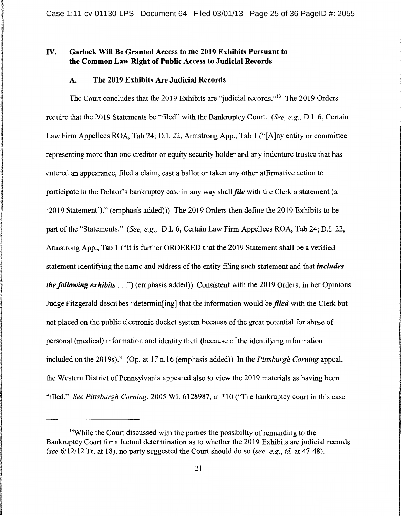# IV. Garlock Will Be Granted Access to the 2019 Exhibits Pursuant to the Common Law Right of Public Access to Judicial Records

### A. The 2019 Exhibits Are Judicial Records

int annistants.<br>.

al politica de la maria de la maria de

l

**Ing June Senator** ! the control of the control of the control of the control of the control of the control of the control of the c<br>The control of the control of the control of the control of the control of the control of the control of the c

I

I

l

The Court concludes that the 2019 Exhibits are "judicial records."<sup>13</sup> The 2019 Orders require that the 2019 Statements be "filed" with the Bankruptcy Court. *(See, e.g.,* D.l. 6, Certain Law Firm Appellees ROA, Tab 24; D.l. 22, Armstrong App., Tab 1 ("[A]ny entity or committee representing more than one creditor or equity security holder and any indenture trustee that has entered an appearance, filed a claim, cast a ballot or taken any other affirmative action to participate in the Debtor's bankruptcy case in any way shall *file* with the Clerk a statement (a '2019 Statement')." (emphasis added))) The 2019 Orders then define the 2019 Exhibits to be part of the "Statements." *(See, e.g., D.I. 6, Certain Law Firm Appellees ROA, Tab 24; D.I. 22, p.* Armstrong App., Tab 1 ("It is further ORDERED that the 2019 Statement shall be a verified statement identifying the name and address of the entity filing such statement and that *includes the following exhibits ... ")* (emphasis added)) Consistent with the 2019 Orders, in her Opinions Judge Fitzgerald describes "determin[ing] that the information would be *filed* with the Clerk but not placed on the public electronic docket system because of the great potential for abuse of personal (medical) information and identity theft (because of the identifying information included on the 2019s)." (Op. at 17 n.16 (emphasis added)) In the *Pittsburgh Corning* appeal, the Western District of Pennsylvania appeared also to view the 2019 materials as having been "filed." *See Pittsburgh Corning,* 2005 WL 6128987, at \* 10 ("The bankruptcy court in this case

<sup>&</sup>lt;sup>13</sup>While the Court discussed with the parties the possibility of remanding to the Bankruptcy Court for a factual determination as to whether the 2019 Exhibits are judicial records *(see* 6/12/12 Tr. at 18), no party suggested the Court should do so *(see, e.g., id.* at 47-48).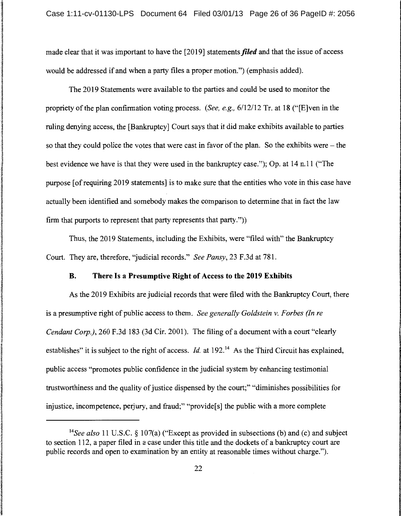made clear that it was important to have the [2019] statements *filed* and that the issue of access would be addressed if and when a party files a proper motion.") (emphasis added).

The 2019 Statements were available to the parties and could be used to monitor the propriety of the plan confirmation voting process. *(See, e.g.,* 6/12/12 Tr. at 18 ("[E]ven in the ruling denying access, the [Bankruptcy] Court says that it did make exhibits available to parties so that they could police the votes that were cast in favor of the plan. So the exhibits were - the best evidence we have is that they were used in the bankruptcy case."); Op. at 14 n.11 ("The purpose [of requiring 2019 statements] is to make sure that the entities who vote in this case have actually been identified and somebody makes the comparison to determine that in fact the law firm that purports to represent that party represents that party."))

Thus, the 2019 Statements, including the Exhibits, were "filed with" the Bankruptcy Court. They are, therefore, "judicial records." *See Pansy,* 23 F.3d at 781.

#### B. There Is a Presumptive Right of Access to the 2019 Exhibits

As the 2019 Exhibits are judicial records that were filed with the Bankruptcy Court, there is a presumptive right of public access to them. *See generally Goldstein v. Forbes (In re Cendant Corp.), 260 F.3d 183 (3d Cir. 2001). The filing of a document with a court "clearly* establishes" it is subject to the right of access. *Id.* at 192<sup>14</sup> As the Third Circuit has explained, public access "promotes public confidence in the judicial system by enhancing testimonial trustworthiness and the quality of justice dispensed by the court;" "diminishes possibilities for injustice, incompetence, perjury, and fraud;" "provide[s] the public with a more complete

1300 and 1300 and 1300 and 1300 in soldieritera **International** 

la series de la serie de la serie de la serie de la serie de la serie de la serie de la serie de la serie de l<br>La serie de la serie de la serie de la serie de la serie de la serie de la serie de la serie de la serie de la

<sup>14</sup>*See also* 11 U.S.C. § 107(a) ("Except as provided in subsections (b) and (c) and subject to section 112, a paper filed in a case under this title and the dockets of a bankruptcy court are public records and open to examination by an entity at reasonable times without charge.").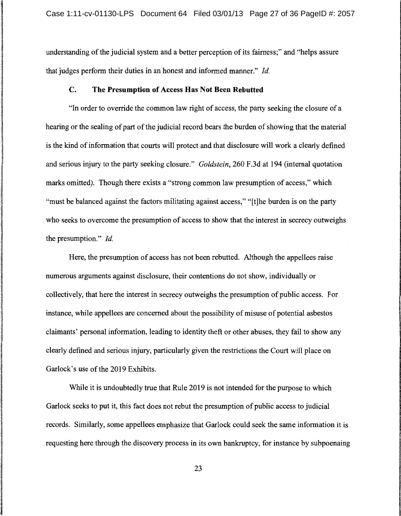understanding of the judicial system and a better perception of its fairness;" and "helps assure that judges perform their duties in an honest and informed manner." *!d.* 

#### C. The Presumption of Access Has Not Been Rebutted

a (Participale de la Cartesia)<br>Internacional

la salah sahiji déngan kacamatan di kacamatan di kacamatan di kacamatan di kacamatan di kacamatan di kacamatan<br>Kacamatan di kacamatan di kacamatan di kacamatan di kacamatan di kacamatan di kacamatan di kacamatan di kacama

"In order to override the common law right of access, the party seeking the closure of a hearing or the sealing of part of the judicial record bears the burden of showing that the material is the kind of information that courts will protect and that disclosure will work a clearly defined and serious injury to the party seeking closure." *Goldstein,* 260 F.3d at 194 (internal quotation marks omitted). Though there exists a "strong common law presumption of access," which "must be balanced against the factors militating against access," "[t]he burden is on the party who seeks to overcome the presumption of access to show that the interest in secrecy outweighs the presumption." *!d.* 

Here, the presumption of access has not been rebutted. Although the appellees raise numerous arguments against disclosure, their contentions do not show, individually or collectively, that here the interest in secrecy outweighs the presumption of public access. For instance, while appellees are concerned about the possibility of misuse of potential asbestos claimants' personal information, leading to identity theft or other abuses, they fail to show any clearly defined and serious injury, particularly given the restrictions the Court will place on Garlock's use of the 2019 Exhibits.

While it is undoubtedly true that Rule 2019 is not intended for the purpose to which Garlock seeks to put it, this fact does not rebut the presumption of public access to judicial records. Similarly, some appellees emphasize that Garlock could seek the same information it is requesting here through the discovery process in its own bankruptcy, for instance by subpoenaing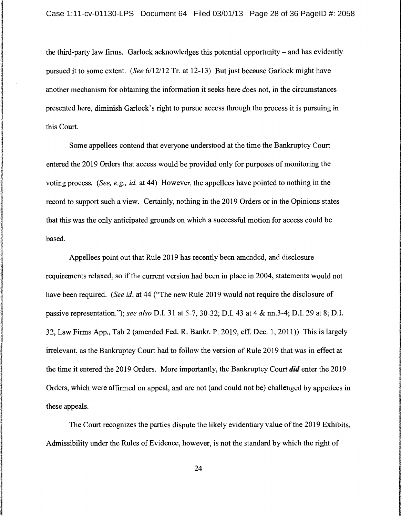I

i) ilalah

j

I

I

1

!

**termiser** 

the third-party law firms. Garlock acknowledges this potential opportunity- and has evidently pursued it to some extent. *(See* 6/12/12 Tr. at 12-13) But just because Garlock might have another mechanism for obtaining the information it seeks here does not, in the circumstances presented here, diminish Garlock's right to pursue access through the process it is pursuing in this Court.

Some appellees contend that everyone understood at the time the Bankruptcy Court entered the 2019 Orders that access would be provided only for purposes of monitoring the voting process. *(See, e.g., id.* at 44) However, the appellees have pointed to nothing in the record to support such a view. Certainly, nothing in the 2019 Orders or in the Opinions states that this was the only anticipated grounds on which a successful motion for access could be based.

Appellees point out that Rule 2019 has recently been amended, and disclosure requirements relaxed, so if the current version had been in place in 2004, statements would not have been required. *(See id.* at 44 ("The new Rule 2019 would not require the disclosure of passive representation."); *see also* D.l. 31 at 5-7, 30-32; D.l. 43 at 4 & nn.3-4; D.l. 29 at 8; D.l. 32, Law Firms App., Tab 2 (amended Fed. R. Bankr. P. 2019, eff. Dec. 1, 2011)) This is largely irrelevant, as the Bankruptcy Court had to follow the version of Rule 2019 that was in effect at the time it entered the 2019 Orders. More importantly, the Bankruptcy Court *did* enter the 2019 Orders, which were affirmed on appeal, and are not (and could not be) challenged by appellees in these appeals.

The Court recognizes the parties dispute the likely evidentiary value of the 2019 Exhibits. Admissibility under the Rules of Evidence, however, is not the standard by which the right of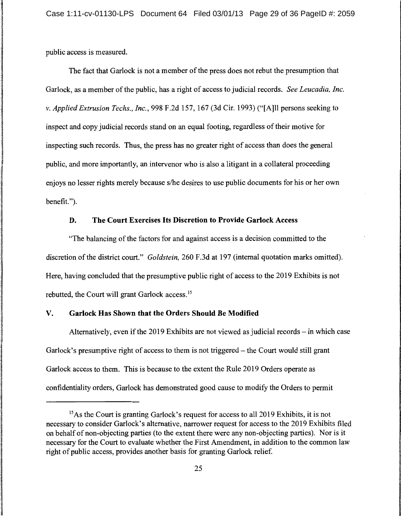public access is measured.

I j

The fact that Garlock is not a member of the press does not rebut the presumption that Garlock, as a member of the public, has a right of access to judicial records. *See Leucadia, Inc. v. Applied Extrusion Techs., Inc.,* 998 F.2d 157, 167 (3d Cir. 1993) ("'[A]ll persons seeking to inspect and copy judicial records stand on an equal footing, regardless of their motive for inspecting such records. Thus, the press has no greater right of access than does the general public, and more importantly, an intervenor who is also a litigant in a collateral proceeding enjoys no lesser rights merely because s/he desires to use public documents for his or her own benefit.").

# D. The Court Exercises Its Discretion to Provide Garlock Access

"The balancing of the factors for and against access is a decision committed to the discretion of the district court." *Goldstein,* 260 F.3d at 197 (internal quotation marks omitted). Here, having concluded that the presumptive public right of access to the 2019 Exhibits is not rebutted, the Court will grant Garlock access. <sup>15</sup>

#### V. Garlock Has Shown that the Orders Should Be Modified

Alternatively, even if the 2019 Exhibits are not viewed as judicial records - in which case Garlock's presumptive right of access to them is not triggered- the Court would still grant Garlock access to them. This is because to the extent the Rule 2019 Orders operate as confidentiality orders, Garlock has demonstrated good cause to modify the Orders to permit

<sup>&</sup>lt;sup>15</sup> As the Court is granting Garlock's request for access to all 2019 Exhibits, it is not necessary to consider Garlock's alternative, narrower request for access to the 2019 Exhibits filed on behalf of non-objecting parties (to the extent there were any non-objecting parties). Nor is it necessary for the Court to evaluate whether the First Amendment, in addition to the common law right of public access, provides another basis for granting Garlock relief.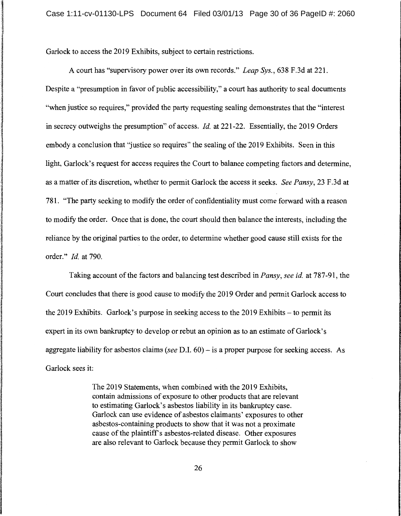Garlock to access the 2019 Exhibits, subject to certain restrictions.

le al ministra de la construcción de la construcción de la ministra de la ministra de la ministra de la ministr<br>La ministra de la ministra de la ministra de la ministra de la ministra de la ministra de la ministra de la mi

l

**SOLOTOOTA ASSASSEE ASSASSEE ASSASSEE ASSASSEE ASSASSEE ASSASSEE ASSASSEE ASSASSEE ASSASSEE ASSASSEE ASSASSEE A**<br>ISAAC ASSASSEE ASSASSEE ASSASSEE ASSASSEE ASSASSEE ASSASSEE ASSASSEE ASSASSEE ASSASSEE ASSASSEE ASSASSEE ASS

l

A court has "supervisory power over its own records." *Leap Sys.,* 638 F.3d at 221. Despite a "presumption in favor of public accessibility," a court has authority to seal documents "when justice so requires," provided the party requesting sealing demonstrates that the "interest in secrecy outweighs the presumption" of access. *!d.* at 221-22. Essentially, the 2019 Orders embody a conclusion that ''justice so requires" the sealing of the 2019 Exhibits. Seen in this light, Garlock's request for access requires the Court to balance competing factors and determine, as a matter of its discretion, whether to permit Garlock the access it seeks. *See Pansy,* 23 F.3d at 781. "The party seeking to modify the order of confidentiality must come forward with a reason to modify the order. Once that is done, the court should then balance the interests, including the reliance by the original parties to the order, to determine whether good cause still exists for the order." *!d.* at 790.

Taking account of the factors and balancing test described in *Pansy, see id.* at 787-91, the Court concludes that there is good cause to modify the 2019 Order and permit Garlock access to the 2019 Exhibits. Garlock's purpose in seeking access to the 2019 Exhibits  $-$  to permit its expert in its own bankruptcy to develop or rebut an opinion as to an estimate of Garlock's aggregate liability for asbestos claims *(see* D.I. 60)- is a proper purpose for seeking access. As Garlock sees it:

> The 2019 Statements, when combined with the 2019 Exhibits, contain admissions of exposure to other products that are relevant to estimating Garlock's asbestos liability in its bankruptcy case. Garlock can use evidence of asbestos claimants' exposures to other asbestos-containing products to show that it was not a proximate cause of the plaintiff's asbestos-related disease. Other exposures are also relevant to Garlock because they permit Garlock to show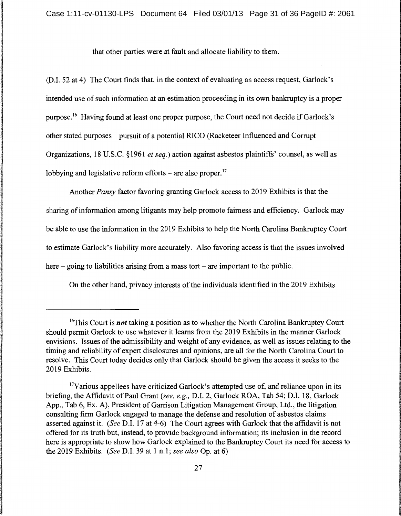that other parties were at fault and allocate liability to them.

(D.I. 52 at 4) The Court finds that, in the context of evaluating an access request, Garlock's intended use of such information at an estimation proceeding in its own bankruptcy is a proper purpose. 16 Having found at least one proper purpose, the Court need not decide if Garlock's other stated purposes- pursuit of a potential RICO (Racketeer Influenced and Corrupt Organizations, 18 U.S.C. §1961 *et seq.)* action against asbestos plaintiffs' counsel, as well as lobbying and legislative reform efforts – are also proper.<sup>17</sup>

Another *Pansy* factor favoring granting Garlock access to 2019 Exhibits is that the sharing of information among litigants may help promote fairness and efficiency. Garlock may be able to use the information in the 2019 Exhibits to help the North Carolina Bankruptcy Court to estimate Garlock's liability more accurately. Also favoring access is that the issues involved here  $-$  going to liabilities arising from a mass tort  $-$  are important to the public.

On the other hand, privacy interests of the individuals identified in the 2019 Exhibits

<sup>&</sup>lt;sup>16</sup>This Court is *not* taking a position as to whether the North Carolina Bankruptcy Court should permit Garlock to use whatever it learns from the 2019 Exhibits in the manner Garlock envisions. Issues of the admissibility and weight of any evidence, as well as issues relating to the timing and reliability of expert disclosures and opinions, are all for the North Carolina Court to resolve. This Court today decides only that Garlock should be given the access it seeks to the 2019 Exhibits.

<sup>&</sup>lt;sup>17</sup>Various appellees have criticized Garlock's attempted use of, and reliance upon in its briefing, the Affidavit of Paul Grant *(see, e.g.,* D.I. 2, Garlock ROA, Tab 54; D.I. 18, Garlock App., Tab 6, Ex. A), President of Garrison Litigation Management Group, Ltd., the litigation consulting firm Garlock engaged to manage the defense and resolution of asbestos claims asserted against it. *(See* D.I. 17 at 4-6) The Court agrees with Garlock that the affidavit is not offered for its truth but, instead, to provide background information; its inclusion in the record here is appropriate to show how Garlock explained to the Bankruptcy Court its need for access to the 2019 Exhibits. *(See* D.I. 39 at 1 n.1; *see also* Op. at 6)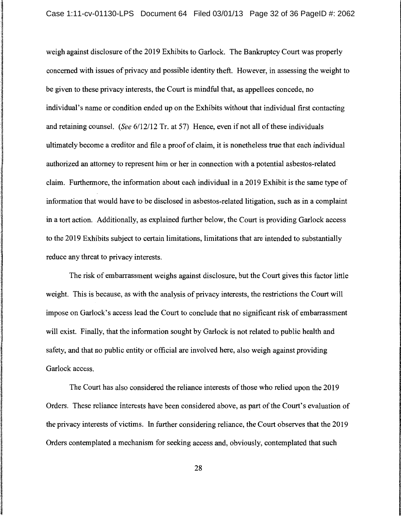l and the state of the state of the state of the state of the state of the state of the state of the state of<br>the state of the state of the state of the state of the state of the state of the state of the state of the st

1000 - 100 Ani - 100 Ani - 100<br>1000 - 1000 - 1000 - 1000 - 1000 - 1000 - 1000 - 1000 - 1000 - 1000 - 1000 - 1000 - 1000 - 1000 - 1000 - 1000

on and the state of the state of the state of the state of the state of the state of the state of the state of the state of the state of the state of the state of the state of the state of the state of the state of the st

**la de la latina de la latina de la latina de la latina de la latina de la latina de la latina de la latina de**<br>Altre de la latina de la latina de la latina de la latina de la latina de la latina de la latina de la latina<br>

1994 - 1994 - 1994 - 1994 - 1994 - 1994 - 1994<br>1994 - 1994 - 1994 - 1994 - 1994 - 1994 - 1994 - 1994 - 1994 - 1994 - 1994 - 1994 - 1994 - 1994 - 1994 - 1994<br>1994 - 1994 - 1994 - 1994 - 1994 - 1994 - 1994 - 1994 - 1994 - 19

andro de la companya de la companya de la companya de la companya de la companya de la companya de la companya<br>Internacional de la companya de la companya de la companya de la companya de la companya de la companya de la

weigh against disclosure of the 2019 Exhibits to Garlock. The Bankruptcy Court was properly concerned with issues of privacy and possible identity theft. However, in assessing the weight to be given to these privacy interests, the Court is mindful that, as appellees concede, no individual's name or condition ended up on the Exhibits without that individual first contacting and retaining counsel. *(See* 6112/12 Tr. at 57) Hence, even if not all of these individuals ultimately become a creditor and file a proof of claim, it is nonetheless true that each individual authorized an attorney to represent him or her in connection with a potential asbestos-related claim. Furthermore, the information about each individual in a 2019 Exhibit is the same type of information that would have to be disclosed in asbestos-related litigation, such as in a complaint in a tort action. Additionally, as explained further below, the Court is providing Garlock access to the 2019 Exhibits subject to certain limitations, limitations that are intended to substantially reduce any threat to privacy interests.

The risk of embarrassment weighs against disclosure, but the Court gives this factor little weight. This is because, as with the analysis of privacy interests, the restrictions the Court will impose on Garlock's access lead the Court to conclude that no significant risk of embarrassment will exist. Finally, that the information sought by Garlock is not related to public health and safety, and that no public entity or official are involved here, also weigh against providing Garlock access.

The Court has also considered the reliance interests of those who relied upon the 2019 Orders. These reliance interests have been considered above, as part of the Court's evaluation of the privacy interests of victims. In further considering reliance, the Court observes that the 2019<br>Orders contemplated a mechanism for seeking access and, obviously, contemplated that such Orders contemplated a mechanism for seeking access and, obviously, contemplated that such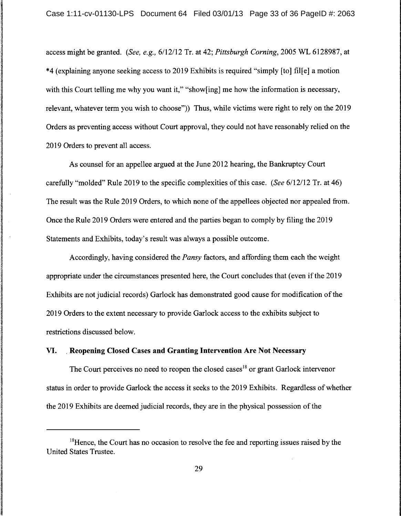access might be granted. *(See, e.g.,* 6112/12 Tr. at 42; *Pittsburgh Corning,* 2005 WL 6128987, at \*4 (explaining anyone seeking access to 2019 Exhibits is required "simply [to] fil[e] a motion with this Court telling me why you want it," "show[ing] me how the information is necessary, relevant, whatever term you wish to choose")) Thus, while victims were right to rely on the 2019 Orders as preventing access without Court approval, they could not have reasonably relied on the 2019 Orders to prevent all access.

As counsel for an appellee argued at the June 2012 hearing, the Bankruptcy Court carefully "molded" Rule 2019 to the specific complexities of this case. *(See* 6112112 Tr. at 46) The result was the Rule 2019 Orders, to which none of the appellees objected nor appealed from. Once the Rule 2019 Orders were entered and the parties began to comply by filing the 2019 Statements and Exhibits, today's result was always a possible outcome.

Accordingly, having considered the *Pansy* factors, and affording them each the weight appropriate under the circumstances presented here, the Court concludes that (even if the 2019 Exhibits are not judicial records) Garlock has demonstrated good cause for modification of the 2019 Orders to the extent necessary to provide Garlock access to the exhibits subject to restrictions discussed below.

# VI. . Reopening Closed Cases and Granting Intervention Are Not Necessary

In the control of the control of the control of the control of the control of the control of the control of the control of the control of the control of the control of the control of the control of the control of the cont

The Court perceives no need to reopen the closed cases<sup>18</sup> or grant Garlock intervenor status in order to provide Garlock the access it seeks to the 2019 Exhibits. Regardless of whether the 2019 Exhibits are deemed judicial records, they are in the physical possession of the

 $18$ Hence, the Court has no occasion to resolve the fee and reporting issues raised by the United States Trustee.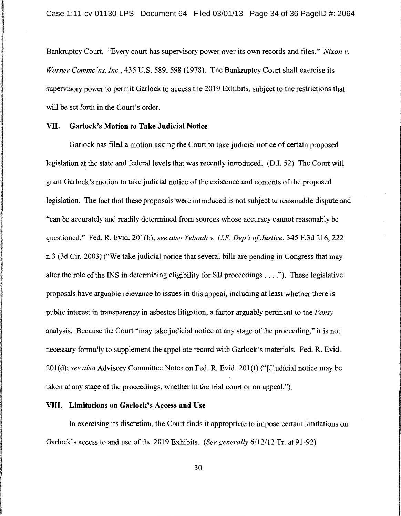Bankruptcy Court. "Every court has supervisory power over its own records and files." *Nixon v. Warner Commc 'ns, Inc.,* 435 U.S. 589, 598 (1978). The Bankruptcy Court shall exercise its supervisory power to permit Garlock to access the 2019 Exhibits, subject to the restrictions that will be set forth in the Court's order.

#### VII. Garlock's Motion to Take Judicial Notice

I

**DISCUSSION** 

in a statement of the statement of the statement of the statement of the statement of the statement of the statement of the statement of the statement of the statement of the statement of the statement of the statement of

!

~

la la composición de la composición de la composición de la composición de la composición de la composición de<br>La composición

l

I

ja ja kaupunkan kaupun kalendari kaupun kaupun kaupun kaupun kaupun kaupun kaupun kaupun kaupun kaupun kaupun<br>Kaupun kaupun kaupun kaupun kaupun kaupun kaupun kaupun kaupun kaupun kaupun kaupun kaupun kaupun kaupun kaupu 22.22 '

Garlock has filed a motion asking the Court to take judicial notice of certain proposed legislation at the state and federal levels that was recently introduced. (D.I. 52) The Court will grant Garlock's motion to take judicial notice of the existence and contents of the proposed legislation. The fact that these proposals were introduced is not subject to reasonable dispute and "can be accurately and readily determined from sources whose accuracy cannot reasonably be questioned." Fed. R. Evid. 201(b); *see also Yeboah v. US. Dep 't of Justice,* 345 F.3d 216, 222 n.3 (3d Cir. 2003) ("We take judicial notice that several bills are pending in Congress that may alter the role of the INS in determining eligibility for SIJ proceedings .... "). These legislative proposals have arguable relevance to issues in this appeal, including at least whether there is public interest in transparency in asbestos litigation, a factor arguably pertinent to the *Pansy*  analysis. Because the Court "may take judicial notice at any stage of the proceeding," it is not necessary formally to supplement the appellate record with Garlock's materials. Fed. R. Evid. 201(d); *see also* Advisory Committee Notes on Fed. R. Evid. 201(t) ("[J]udicial notice may be taken at any stage of the proceedings, whether in the trial court or on appeal.").

#### VIII. Limitations on Garlock's Access and Use

In exercising its discretion, the Court finds it appropriate to impose certain limitations on Garlock's access to and use of the 2019 Exhibits. *(See generally 6/12/12 Tr. at 91-92)*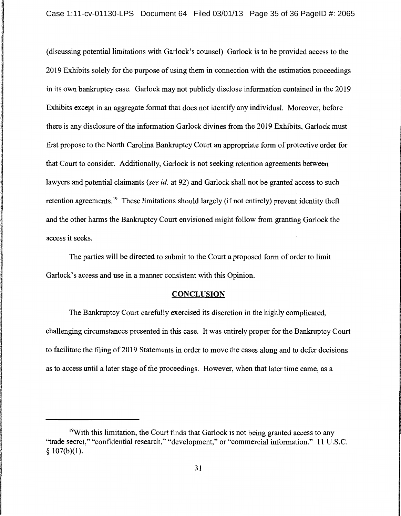(discussing potential limitations with Garlock's counsel) Garlock is to be provided access to the 2019 Exhibits solely for the purpose of using them in connection with the estimation proceedings in its own bankruptcy case. Garlock may not publicly disclose information contained in the 2019 Exhibits except in an aggregate format that does not identify any individual. Moreover, before there is any disclosure of the information Garlock divines from the 2019 Exhibits, Garlock must first propose to the North Carolina Bankruptcy Court an appropriate form of protective order for that Court to consider. Additionally, Garlock is not seeking retention agreements between lawyers and potential claimants (see *id.* at 92) and Garlock shall not be granted access to such retention agreements.<sup>19</sup> These limitations should largely (if not entirely) prevent identity theft and the other harms the Bankruptcy Court envisioned might follow from granting Garlock the access it seeks.

The parties will be directed to submit to the Court a proposed form of order to limit Garlock's access and use in a manner consistent with this Opinion.

#### **CONCLUSION**

The Bankruptcy Court carefully exercised its discretion in the highly complicated, challenging circumstances presented in this case. It was entirely proper for the Bankruptcy Court to facilitate the filing of 2019 Statements in order to move the cases along and to defer decisions as to access until a later stage of the proceedings. However, when that later time came, as a

<sup>&</sup>lt;sup>19</sup>With this limitation, the Court finds that Garlock is not being granted access to any "trade secret," "confidential research," "development," or "commercial information." 11 U.S.C.  $§ 107(b)(1).$